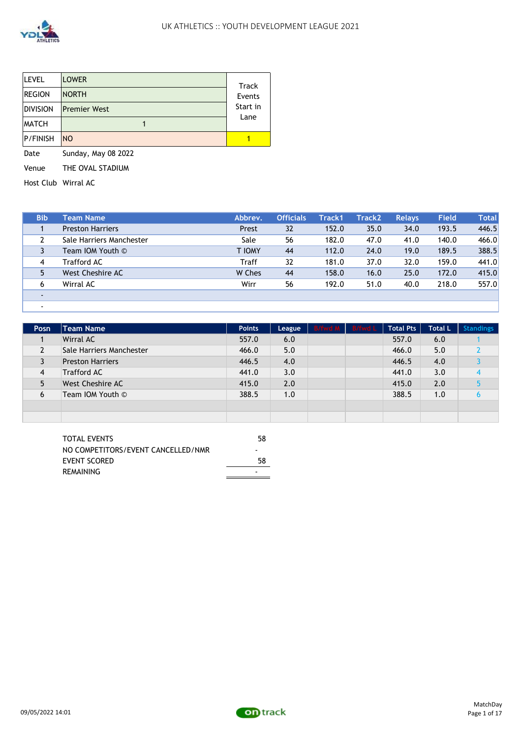

| <b>LEVEL</b>    | <b>LOWER</b>        | Track    |
|-----------------|---------------------|----------|
| <b>REGION</b>   | <b>NORTH</b>        | Events   |
| <b>DIVISION</b> | <b>Premier West</b> | Start in |
| <b>MATCH</b>    |                     | Lane     |
| <b>P/FINISH</b> | <b>NO</b>           |          |

Date Sunday, May 08 2022 Venue THE OVAL STADIUM

Host Club Wirral AC

-

| <b>Bib</b> | <b>Team Name</b>         | Abbrev. | <b>Officials</b> | Track1 | Track2 | <b>Relays</b> | Field | Total |
|------------|--------------------------|---------|------------------|--------|--------|---------------|-------|-------|
|            | <b>Preston Harriers</b>  | Prest   | 32               | 152.0  | 35.0   | 34.0          | 193.5 | 446.5 |
|            | Sale Harriers Manchester | Sale    | 56               | 182.0  | 47.0   | 41.0          | 140.0 | 466.0 |
|            | Team IOM Youth ©         | T IOMY  | 44               | 112.0  | 24.0   | 19.0          | 189.5 | 388.5 |
| 4          | Trafford AC              | Traff   | 32               | 181.0  | 37.0   | 32.0          | 159.0 | 441.0 |
|            | West Cheshire AC         | W Ches  | 44               | 158.0  | 16.0   | 25.0          | 172.0 | 415.0 |
| 6          | Wirral AC                | Wirr    | 56               | 192.0  | 51.0   | 40.0          | 218.0 | 557.0 |
|            |                          |         |                  |        |        |               |       |       |
|            |                          |         |                  |        |        |               |       |       |

| Posn | Team Name                | <b>Points</b> | League | B/fwd M B/fwd L | <b>Total Pts</b> | <b>Total L</b> | <b>Standings</b> |
|------|--------------------------|---------------|--------|-----------------|------------------|----------------|------------------|
|      | Wirral AC                | 557.0         | 6.0    |                 | 557.0            | 6.0            |                  |
|      | Sale Harriers Manchester | 466.0         | 5.0    |                 | 466.0            | 5.0            |                  |
|      | <b>Preston Harriers</b>  | 446.5         | 4.0    |                 | 446.5            | 4.0            |                  |
| 4    | <b>Trafford AC</b>       | 441.0         | 3.0    |                 | 441.0            | 3.0            |                  |
|      | West Cheshire AC         | 415.0         | 2.0    |                 | 415.0            | 2.0            |                  |
| 6    | Team IOM Youth ©         | 388.5         | 1.0    |                 | 388.5            | 1.0            | h                |
|      |                          |               |        |                 |                  |                |                  |
|      |                          |               |        |                 |                  |                |                  |

| TOTAL EVENTS                       | 58 |
|------------------------------------|----|
| NO COMPETITORS/EVENT CANCELLED/NMR | -  |
| <b>EVENT SCORED</b>                | 58 |
| <b>REMAINING</b>                   |    |

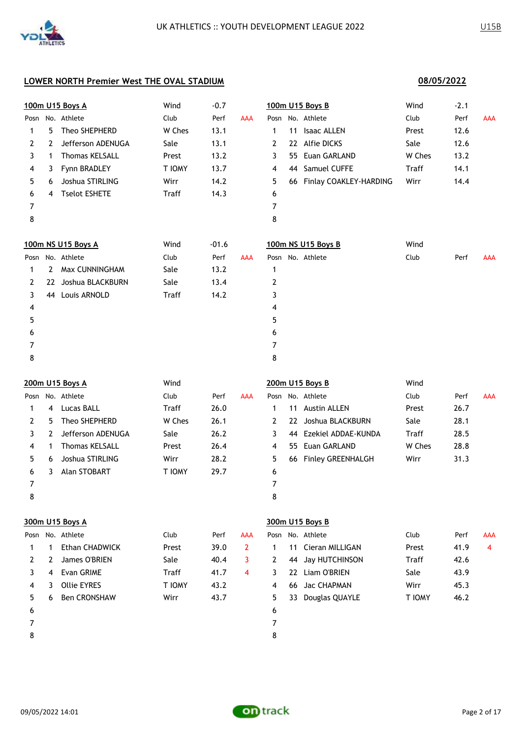**08/05/2022**

### **LOWER NORTH Premier West THE OVAL STADIUM**

|              |                | 100m U15 Boys A       | Wind   | $-0.7$  |            |   |    | 100m U15 Boys B           | Wind   | $-2.1$ |            |
|--------------|----------------|-----------------------|--------|---------|------------|---|----|---------------------------|--------|--------|------------|
| Posn         |                | No. Athlete           | Club   | Perf    | <b>AAA</b> |   |    | Posn No. Athlete          | Club   | Perf   | <b>AAA</b> |
| 1            | 5.             | Theo SHEPHERD         | W Ches | 13.1    |            | 1 | 11 | <b>Isaac ALLEN</b>        | Prest  | 12.6   |            |
| $\mathbf{2}$ | 2              | Jefferson ADENUGA     | Sale   | 13.1    |            | 2 | 22 | <b>Alfie DICKS</b>        | Sale   | 12.6   |            |
| 3            | 1              | <b>Thomas KELSALL</b> | Prest  | 13.2    |            | 3 | 55 | Euan GARLAND              | W Ches | 13.2   |            |
| 4            | 3              | Fynn BRADLEY          | T IOMY | 13.7    |            | 4 | 44 | Samuel CUFFE              | Traff  | 14.1   |            |
| 5.           | 6              | Joshua STIRLING       | Wirr   | 14.2    |            | 5 |    | 66 Finlay COAKLEY-HARDING | Wirr   | 14.4   |            |
| 6            | 4              | <b>Tselot ESHETE</b>  | Traff  | 14.3    |            | 6 |    |                           |        |        |            |
| 7            |                |                       |        |         |            | 7 |    |                           |        |        |            |
| 8            |                |                       |        |         |            | 8 |    |                           |        |        |            |
|              |                | 100m NS U15 Boys A    | Wind   | $-01.6$ |            |   |    | 100m NS U15 Boys B        | Wind   |        |            |
| Posn         |                | No. Athlete           | Club   | Perf    | <b>AAA</b> |   |    | Posn No. Athlete          | Club   | Perf   | <b>AAA</b> |
| 1            | $\overline{2}$ | Max CUNNINGHAM        | Sale   | 13.2    |            | 1 |    |                           |        |        |            |
| 2            | 22             | Joshua BLACKBURN      | Sale   | 13.4    |            | 2 |    |                           |        |        |            |
| 3            | 44             | Louis ARNOLD          | Traff  | 14.2    |            | 3 |    |                           |        |        |            |
| 4            |                |                       |        |         |            | 4 |    |                           |        |        |            |
| 5            |                |                       |        |         |            | 5 |    |                           |        |        |            |
| 6            |                |                       |        |         |            | 6 |    |                           |        |        |            |
| 7            |                |                       |        |         |            | 7 |    |                           |        |        |            |
| 8            |                |                       |        |         |            | 8 |    |                           |        |        |            |
|              |                |                       |        |         |            |   |    |                           |        |        |            |

|      |    | 200m U15 Boys A       | Wind         |      |            |    |    | 200m U15 Boys B          | Wind   |      |     |
|------|----|-----------------------|--------------|------|------------|----|----|--------------------------|--------|------|-----|
| Posn |    | No. Athlete           | Club         | Perf | <b>AAA</b> |    |    | Posn No. Athlete         | Club   | Perf | AAA |
|      | 4  | Lucas BALL            | <b>Traff</b> | 26.0 |            |    | 11 | <b>Austin ALLEN</b>      | Prest  | 26.7 |     |
|      | 5. | Theo SHEPHERD         | W Ches       | 26.1 |            |    | 22 | Joshua BLACKBURN         | Sale   | 28.1 |     |
|      | 2  | Jefferson ADENUGA     | Sale         | 26.2 |            |    | 44 | Ezekiel ADDAE-KUNDA      | Traff  | 28.5 |     |
| 4    |    | <b>Thomas KELSALL</b> | Prest        | 26.4 |            | 4  |    | 55 Euan GARLAND          | W Ches | 28.8 |     |
| 5.   | 6  | Joshua STIRLING       | Wirr         | 28.2 |            | 5. | 66 | <b>Finley GREENHALGH</b> | Wirr   | 31.3 |     |
| 6    |    | Alan STOBART          | T IOMY       | 29.7 |            | 6  |    |                          |        |      |     |
|      |    |                       |              |      |            |    |    |                          |        |      |     |
| 8    |    |                       |              |      |            | 8  |    |                          |        |      |     |

### **300m U15 Boys A 300m U15 Boys B**

|    |   | Posn No. Athlete      | Club   | Perf | AAA |    |    | Posn No. Athlete   | Club         | Perf |
|----|---|-----------------------|--------|------|-----|----|----|--------------------|--------------|------|
|    |   | <b>Ethan CHADWICK</b> | Prest  | 39.0 |     |    |    | 11 Cieran MILLIGAN | Prest        | 41.9 |
|    | 2 | James O'BRIEN         | Sale   | 40.4 | 3   | 2  |    | 44 Jay HUTCHINSON  | <b>Traff</b> | 42.6 |
|    | 4 | Evan GRIME            | Traff  | 41.7 | 4   | 3. | 22 | Liam O'BRIEN       | Sale         | 43.9 |
| 4  | 3 | <b>Ollie EYRES</b>    | T IOMY | 43.2 |     | 4  |    | 66 Jac CHAPMAN     | Wirr         | 45.3 |
| 5. | 6 | Ben CRONSHAW          | Wirr   | 43.7 |     | 5. |    | 33 Douglas QUAYLE  | T IOMY       | 46.2 |
| 6  |   |                       |        |      |     | 6  |    |                    |              |      |
|    |   |                       |        |      |     |    |    |                    |              |      |
| 8  |   |                       |        |      |     | 8  |    |                    |              |      |

| Posn           |   | No. Athlete         | Club         | Perf | AAA |   |    | Posn No. Athlete   | Club   | Perf | <b>AAA</b> |
|----------------|---|---------------------|--------------|------|-----|---|----|--------------------|--------|------|------------|
|                |   | Ethan CHADWICK      | Prest        | 39.0 |     |   |    | 11 Cieran MILLIGAN | Prest  | 41.9 | 4          |
|                |   | James O'BRIEN       | Sale         | 40.4 |     |   |    | 44 Jay HUTCHINSON  | Traff  | 42.6 |            |
|                | 4 | Evan GRIME          | <b>Traff</b> | 41.7 | 4   |   | 22 | Liam O'BRIEN       | Sale   | 43.9 |            |
| $\overline{4}$ | 3 | Ollie EYRES         | T IOMY       | 43.2 |     | 4 | 66 | Jac CHAPMAN        | Wirr   | 45.3 |            |
|                | 6 | <b>Ben CRONSHAW</b> | Wirr         | 43.7 |     |   | 33 | Douglas QUAYLE     | T IOMY | 46.2 |            |
| 6              |   |                     |              |      |     | b |    |                    |        |      |            |

- 
- 

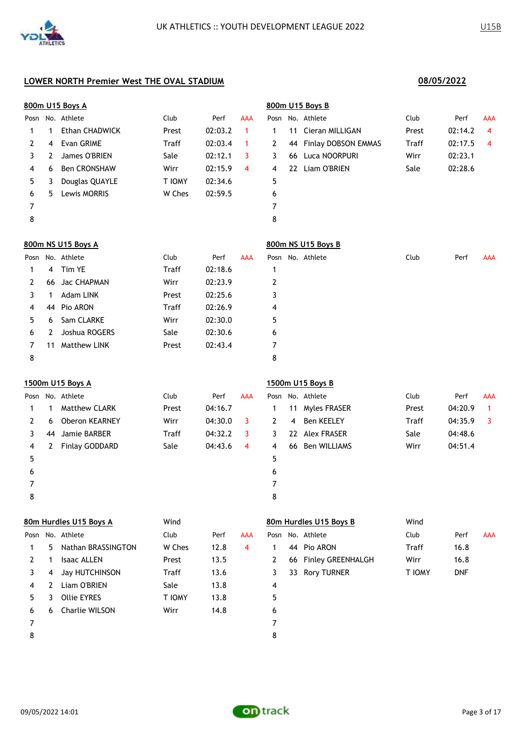|      |              | 800m U15 Boys A        |              |         |             |      |    | 800m U15 Boys B        |       |         |              |
|------|--------------|------------------------|--------------|---------|-------------|------|----|------------------------|-------|---------|--------------|
|      |              | Posn No. Athlete       | Club         | Perf    | <b>AAA</b>  |      |    | Posn No. Athlete       | Club  | Perf    | AAA          |
| 1    | 1            | Ethan CHADWICK         | Prest        | 02:03.2 | $\mathbf 1$ | 1    | 11 | Cieran MILLIGAN        | Prest | 02:14.2 | 4            |
| 2    | 4            | Evan GRIME             | Traff        | 02:03.4 | 1           | 2    | 44 | Finlay DOBSON EMMAS    | Traff | 02:17.5 | 4            |
| 3    | $2^{\circ}$  | James O'BRIEN          | Sale         | 02:12.1 | 3           | 3    | 66 | Luca NOORPURI          | Wirr  | 02:23.1 |              |
| 4    | 6            | <b>Ben CRONSHAW</b>    | Wirr         | 02:15.9 | 4           | 4    | 22 | Liam O'BRIEN           | Sale  | 02:28.6 |              |
| 5    | 3            | Douglas QUAYLE         | T IOMY       | 02:34.6 |             | 5    |    |                        |       |         |              |
| 6    | 5.           | Lewis MORRIS           | W Ches       | 02:59.5 |             | 6    |    |                        |       |         |              |
| 7    |              |                        |              |         |             | 7    |    |                        |       |         |              |
| 8    |              |                        |              |         |             | 8    |    |                        |       |         |              |
|      |              | 800m NS U15 Boys A     |              |         |             |      |    | 800m NS U15 Boys B     |       |         |              |
| Posn |              | No. Athlete            | Club         | Perf    | <b>AAA</b>  | Posn |    | No. Athlete            | Club  | Perf    | AAA          |
| 1    | 4            | Tim YE                 | Traff        | 02:18.6 |             | 1    |    |                        |       |         |              |
| 2    | 66           | Jac CHAPMAN            | Wirr         | 02:23.9 |             | 2    |    |                        |       |         |              |
| 3    | 1            | Adam LINK              | Prest        | 02:25.6 |             | 3    |    |                        |       |         |              |
| 4    | 44           | Pio ARON               | Traff        | 02:26.9 |             | 4    |    |                        |       |         |              |
| 5    | 6            | Sam CLARKE             | Wirr         | 02:30.0 |             | 5    |    |                        |       |         |              |
| 6    | 2            | Joshua ROGERS          | Sale         | 02:30.6 |             | 6    |    |                        |       |         |              |
| 7    | 11           | <b>Matthew LINK</b>    | Prest        | 02:43.4 |             | 7    |    |                        |       |         |              |
| 8    |              |                        |              |         |             | 8    |    |                        |       |         |              |
|      |              | 1500m U15 Boys A       |              |         |             |      |    | 1500m U15 Boys B       |       |         |              |
| Posn |              | No. Athlete            | Club         | Perf    | <b>AAA</b>  | Posn |    | No. Athlete            | Club  | Perf    | AAA          |
| 1    | 1            | <b>Matthew CLARK</b>   | Prest        | 04:16.7 |             | 1    |    | 11 Myles FRASER        | Prest | 04:20.9 | $\mathbf{1}$ |
| 2    | 6            | <b>Oberon KEARNEY</b>  | Wirr         | 04:30.0 | 3           | 2    | 4  | <b>Ben KEELEY</b>      | Traff | 04:35.9 | 3            |
| 3    | 44           | Jamie BARBER           | <b>Traff</b> | 04:32.2 | 3           | 3    |    | 22 Alex FRASER         | Sale  | 04:48.6 |              |
| 4    | $\mathbf{2}$ | <b>Finlay GODDARD</b>  | Sale         | 04:43.6 | 4           | 4    | 66 | <b>Ben WILLIAMS</b>    | Wirr  | 04:51.4 |              |
| 5    |              |                        |              |         |             | 5    |    |                        |       |         |              |
| 6    |              |                        |              |         |             | 6    |    |                        |       |         |              |
| 7    |              |                        |              |         |             | 7    |    |                        |       |         |              |
| 8    |              |                        |              |         |             | 8    |    |                        |       |         |              |
|      |              | 80m Hurdles U15 Boys A | Wind         |         |             |      |    | 80m Hurdles U15 Boys B | Wind  |         |              |
|      |              | Posn No. Athlete       | Club         | Perf    | <b>AAA</b>  |      |    | Posn No. Athlete       | Club  | Perf    | AAA          |

|                |             | osn No. Athlete    | Club   | Perf | AAA |    | Posn No. Athlete     | Club   | Perf       |
|----------------|-------------|--------------------|--------|------|-----|----|----------------------|--------|------------|
| $\mathbf{1}$   | 5.          | Nathan BRASSINGTON | W Ches | 12.8 | 4   |    | 44 Pio ARON          | Traff  | 16.8       |
| $\mathbf{2}$   |             | Isaac ALLEN        | Prest  | 13.5 |     | 2  | 66 Finley GREENHALGH | Wirr   | 16.8       |
| $\mathbf{3}$   | 4           | Jay HUTCHINSON     | Traff  | 13.6 |     | 3  | 33 Rory TURNER       | T IOMY | <b>DNF</b> |
| $\overline{4}$ | $2^{\circ}$ | Liam O'BRIEN       | Sale   | 13.8 |     | 4  |                      |        |            |
| 5              | 3           | <b>Ollie EYRES</b> | T IOMY | 13.8 |     | 5. |                      |        |            |
| 6              |             | 6 Charlie WILSON   | Wirr   | 14.8 |     | 6  |                      |        |            |
| $\overline{7}$ |             |                    |        |      |     | 7  |                      |        |            |
| 8              |             |                    |        |      |     | 8  |                      |        |            |
|                |             |                    |        |      |     |    |                      |        |            |

|              |                      | ,,,,,, |            |     |
|--------------|----------------------|--------|------------|-----|
|              | Posn No. Athlete     | Club   | Perf       | AAA |
| 1            | 44 Pio ARON          | Traff  | 16.8       |     |
| <sup>2</sup> | 66 Finley GREENHALGH | Wirr   | 16.8       |     |
| 3            | 33 Rory TURNER       | T IOMY | <b>DNF</b> |     |
| 4            |                      |        |            |     |
| 5            |                      |        |            |     |
| L            |                      |        |            |     |

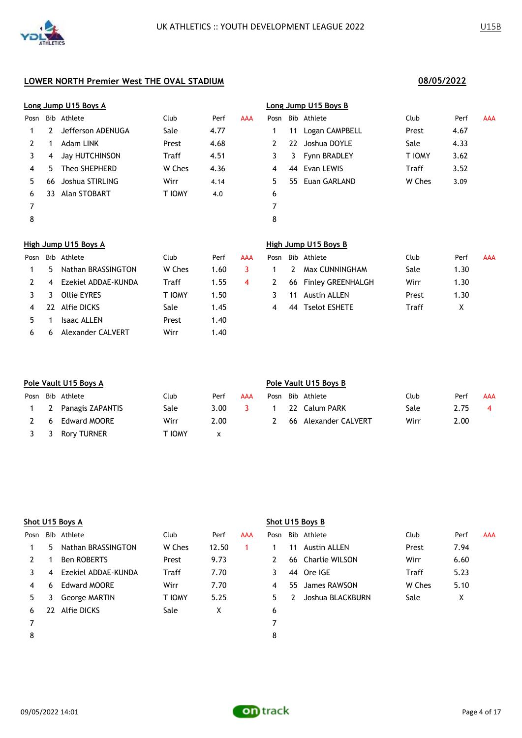|      |    | Long Jump U15 Boys A |        |      |     |              |     | Long Jump U15 Boys B     |        |      |     |
|------|----|----------------------|--------|------|-----|--------------|-----|--------------------------|--------|------|-----|
| Posn |    | Bib Athlete          | Club   | Perf | AAA | Posn         |     | Bib Athlete              | Club   | Perf | AAA |
| 1    | 2  | Jefferson ADENUGA    | Sale   | 4.77 |     | 1.           | 11  | Logan CAMPBELL           | Prest  | 4.67 |     |
| 2    | 1  | Adam LINK            | Prest  | 4.68 |     | 2            | 22  | Joshua DOYLE             | Sale   | 4.33 |     |
| 3    | 4  | Jay HUTCHINSON       | Traff  | 4.51 |     | 3            | 3   | Fynn BRADLEY             | T IOMY | 3.62 |     |
| 4    | 5. | Theo SHEPHERD        | W Ches | 4.36 |     | 4            | 44  | Evan LEWIS               | Traff  | 3.52 |     |
| 5.   | 66 | Joshua STIRLING      | Wirr   | 4.14 |     | 5.           | 55. | Euan GARLAND             | W Ches | 3.09 |     |
| 6    | 33 | Alan STOBART         | T IOMY | 4.0  |     | 6            |     |                          |        |      |     |
| 7    |    |                      |        |      |     | 7            |     |                          |        |      |     |
| 8    |    |                      |        |      |     | 8            |     |                          |        |      |     |
|      |    | High Jump U15 Boys A |        |      |     |              |     | High Jump U15 Boys B     |        |      |     |
| Posn |    | Bib Athlete          | Club   | Perf | AAA | Posn         |     | Bib Athlete              | Club   | Perf | AAA |
| 1    | 5. | Nathan BRASSINGTON   | W Ches | 1.60 | 3   | 1            | 2   | Max CUNNINGHAM           | Sale   | 1.30 |     |
| 2    | 4  | Ezekiel ADDAE-KUNDA  | Traff  | 1.55 | 4   | $\mathbf{2}$ | 66  | <b>Finley GREENHALGH</b> | Wirr   | 1.30 |     |
| 3    | 3  | <b>Ollie EYRES</b>   | T IOMY | 1.50 |     | 3            | 11  | <b>Austin ALLEN</b>      | Prest  | 1.30 |     |

|  | 4 22 Alfie DICKS      | Sale  | 1.45 |  | 44 Tselot ESHETE | Traff |  |
|--|-----------------------|-------|------|--|------------------|-------|--|
|  | 5 1 Isaac ALLEN       | Prest | 1.40 |  |                  |       |  |
|  | 6 6 Alexander CALVERT | Wirr  | 1.40 |  |                  |       |  |

|              | Posn Bib Athlete     | Club  | Perf | AAA |
|--------------|----------------------|-------|------|-----|
| $\mathbf{1}$ | 2 Max CUNNINGHAM     | Sale  | 1.30 |     |
| 2            | 66 Finley GREENHALGH | Wirr  | 1.30 |     |
| 3            | 11 Austin ALLEN      | Prest | 1.30 |     |
|              | 44 Tselot ESHETE     | Traff | X    |     |
|              |                      |       |      |     |

| Pole Vault U15 Boys A |                      |        |                   |     |      |  | Pole Vault U15 Boys B |      |      |            |  |  |  |  |
|-----------------------|----------------------|--------|-------------------|-----|------|--|-----------------------|------|------|------------|--|--|--|--|
|                       | Posn Bib Athlete     | Club   | Perf              | AAA | Posn |  | Bib Athlete           | Club | Perf | <b>AAA</b> |  |  |  |  |
|                       | 1 2 Panagis ZAPANTIS | Sale   | 3.00 <sub>1</sub> |     |      |  | 22 Calum PARK         | Sale | 2.75 |            |  |  |  |  |
| -6                    | <b>Edward MOORE</b>  | Wirr   | 2.00              |     |      |  | 66 Alexander CALVERT  | Wirr | 2.00 |            |  |  |  |  |
| 3 3                   | Rory TURNER          | Γ ΙΟΜΥ | x                 |     |      |  |                       |      |      |            |  |  |  |  |

|      |     | Shot U15 Boys A      |               |       |     | Shot U15 Boys B |     |                     |        |      |            |  |  |
|------|-----|----------------------|---------------|-------|-----|-----------------|-----|---------------------|--------|------|------------|--|--|
| Posn | Bib | Athlete              | Club          | Perf  | AAA | Posn            |     | Bib Athlete         | Club   | Perf | <b>AAA</b> |  |  |
|      | 5   | Nathan BRASSINGTON   | W Ches        | 12.50 |     |                 | 11  | <b>Austin ALLEN</b> | Prest  | 7.94 |            |  |  |
| 2    |     | <b>Ben ROBERTS</b>   | Prest         | 9.73  |     | 2               | 66  | Charlie WILSON      | Wirr   | 6.60 |            |  |  |
| 3    | 4   | Ezekiel ADDAE-KUNDA  | Traff         | 7.70  |     | 3               | 44  | Ore IGE             | Traff  | 5.23 |            |  |  |
| 4    | 6   | <b>Edward MOORE</b>  | Wirr          | 7.70  |     | 4               | 55. | James RAWSON        | W Ches | 5.10 |            |  |  |
| 5.   |     | <b>George MARTIN</b> | <b>T IOMY</b> | 5.25  |     | 5.              |     | Joshua BLACKBURN    | Sale   | Χ    |            |  |  |
| 6    | 22  | Alfie DICKS          | Sale          | X     |     | 6               |     |                     |        |      |            |  |  |
|      |     |                      |               |       |     |                 |     |                     |        |      |            |  |  |
| 8    |     |                      |               |       |     | 8               |     |                     |        |      |            |  |  |

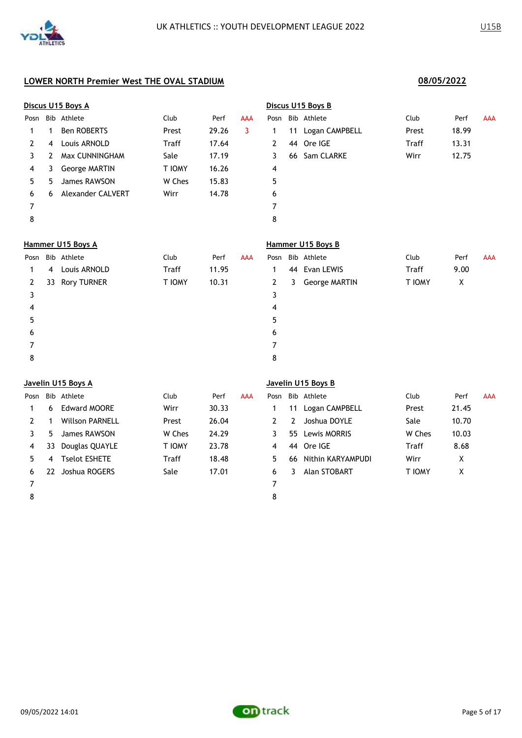|      |    | Discus U15 Boys A    |               |       |            |              |    | Discus U15 Boys B  |               |       |            |
|------|----|----------------------|---------------|-------|------------|--------------|----|--------------------|---------------|-------|------------|
| Posn |    | Bib Athlete          | Club          | Perf  | AAA        |              |    | Posn Bib Athlete   | Club          | Perf  | <b>AAA</b> |
| 1    | 1  | <b>Ben ROBERTS</b>   | Prest         | 29.26 | 3          | 1            | 11 | Logan CAMPBELL     | Prest         | 18.99 |            |
| 2    | 4  | Louis ARNOLD         | <b>Traff</b>  | 17.64 |            | 2            | 44 | Ore IGE            | Traff         | 13.31 |            |
| 3    | 2  | Max CUNNINGHAM       | Sale          | 17.19 |            | 3            | 66 | Sam CLARKE         | Wirr          | 12.75 |            |
| 4    | 3  | <b>George MARTIN</b> | T IOMY        | 16.26 |            | 4            |    |                    |               |       |            |
| 5    | 5  | James RAWSON         | W Ches        | 15.83 |            | 5            |    |                    |               |       |            |
| 6    | 6  | Alexander CALVERT    | Wirr          | 14.78 |            | 6            |    |                    |               |       |            |
| 7    |    |                      |               |       |            | 7            |    |                    |               |       |            |
| 8    |    |                      |               |       |            | 8            |    |                    |               |       |            |
|      |    | Hammer U15 Boys A    |               |       |            |              |    | Hammer U15 Boys B  |               |       |            |
| Posn |    | Bib Athlete          | Club          | Perf  | <b>AAA</b> | Posn         |    | Bib Athlete        | Club          | Perf  | <b>AAA</b> |
| 1    | 4  | Louis ARNOLD         | Traff         | 11.95 |            | 1            | 44 | Evan LEWIS         | Traff         | 9.00  |            |
| 2    | 33 | <b>Rory TURNER</b>   | <b>T IOMY</b> | 10.31 |            | $\mathbf{2}$ | 3  | George MARTIN      | <b>T IOMY</b> | X     |            |
| 3    |    |                      |               |       |            | 3            |    |                    |               |       |            |
| 4    |    |                      |               |       |            | 4            |    |                    |               |       |            |
| 5    |    |                      |               |       |            | 5            |    |                    |               |       |            |
| 6    |    |                      |               |       |            | 6            |    |                    |               |       |            |
| 7    |    |                      |               |       |            | 7            |    |                    |               |       |            |
| 8    |    |                      |               |       |            | 8            |    |                    |               |       |            |
|      |    | Javelin U15 Boys A   |               |       |            |              |    | Javelin U15 Boys B |               |       |            |
| Posn |    | Bib Athlete          | Club          | Perf  | <b>AAA</b> | Posn         |    | Bib Athlete        | Club          | Perf  | <b>AAA</b> |
| 1    | 6  | <b>Edward MOORE</b>  | Wirr          | 30.33 |            | 1            |    | 11 Logan CAMPBELL  | Prest         | 21.45 |            |

|   | 6  | Edward MOORE           | Wirr          | 30.33 |    | 11 | Logan CAMPBELL       | Prest         | 21.45 |
|---|----|------------------------|---------------|-------|----|----|----------------------|---------------|-------|
|   |    | <b>Willson PARNELL</b> | Prest         | 26.04 |    | 2  | Joshua DOYLE         | Sale          | 10.70 |
|   | 5. | James RAWSON           | W Ches        | 24.29 |    |    | 55 Lewis MORRIS      | W Ches        | 10.03 |
| 4 | 33 | Douglas QUAYLE         | <b>T IOMY</b> | 23.78 | 4  |    | 44 Ore IGE           | Traff         | 8.68  |
|   | 4  | <b>Tselot ESHETE</b>   | <b>Traff</b>  | 18.48 | 5. |    | 66 Nithin KARYAMPUDI | Wirr          | X     |
|   | 22 | Joshua ROGERS          | Sale          | 17.01 | 6  | 3  | Alan STOBART         | <b>T IOMY</b> | x     |
|   |    |                        |               |       |    |    |                      |               |       |
|   |    |                        |               |       | 8  |    |                      |               |       |

| 'osn      |   | Bib Athlete          | Club   | Perf  | <b>AAA</b> |
|-----------|---|----------------------|--------|-------|------------|
| $1 \quad$ |   | 11 Logan CAMPBELL    | Prest  | 21.45 |            |
|           |   | 2 2 Joshua DOYLE     | Sale   | 10.70 |            |
| 3         |   | 55 Lewis MORRIS      | W Ches | 10.03 |            |
| 4         |   | 44 Ore IGE           | Traff  | 8.68  |            |
| .5        |   | 66 Nithin KARYAMPUDI | Wirr   | x     |            |
| 6         | 3 | Alan STOBART         | T IOMY | X     |            |
|           |   |                      |        |       |            |

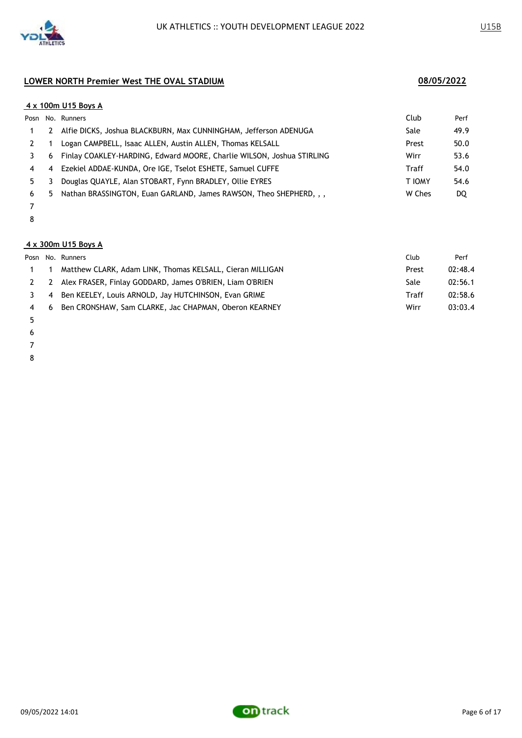

|      |                | 4 x 100m U15 Boys A                                                   |        |      |
|------|----------------|-----------------------------------------------------------------------|--------|------|
| Posn |                | No. Runners                                                           | Club   | Perf |
|      | 2              | Alfie DICKS, Joshua BLACKBURN, Max CUNNINGHAM, Jefferson ADENUGA      | Sale   | 49.9 |
|      |                | Logan CAMPBELL, Isaac ALLEN, Austin ALLEN, Thomas KELSALL             | Prest  | 50.0 |
|      | 6              | Finlay COAKLEY-HARDING, Edward MOORE, Charlie WILSON, Joshua STIRLING | Wirr   | 53.6 |
| 4    | $\overline{4}$ | Ezekiel ADDAE-KUNDA, Ore IGE, Tselot ESHETE, Samuel CUFFE             | Traff  | 54.0 |
| 5.   |                | Douglas QUAYLE, Alan STOBART, Fynn BRADLEY, Ollie EYRES               | T IOMY | 54.6 |
| 6    | 5.             | Nathan BRASSINGTON, Euan GARLAND, James RAWSON, Theo SHEPHERD, , ,    | W Ches | DQ   |
|      |                |                                                                       |        |      |

- 
- 

### **4 x 300m U15 Boys A**

|     |                | Posn No. Runners                                             | Club  | Perf    |
|-----|----------------|--------------------------------------------------------------|-------|---------|
|     |                | Matthew CLARK, Adam LINK, Thomas KELSALL, Cieran MILLIGAN    | Prest | 02:48.4 |
|     |                | 2 2 Alex FRASER, Finlay GODDARD, James O'BRIEN, Liam O'BRIEN | Sale  | 02:56.1 |
|     | $\overline{4}$ | Ben KEELEY, Louis ARNOLD, Jay HUTCHINSON, Evan GRIME         | Traff | 02:58.6 |
| 4 6 |                | Ben CRONSHAW, Sam CLARKE, Jac CHAPMAN, Oberon KEARNEY        | Wirr  | 03:03.4 |

- 
- 
- 
- 

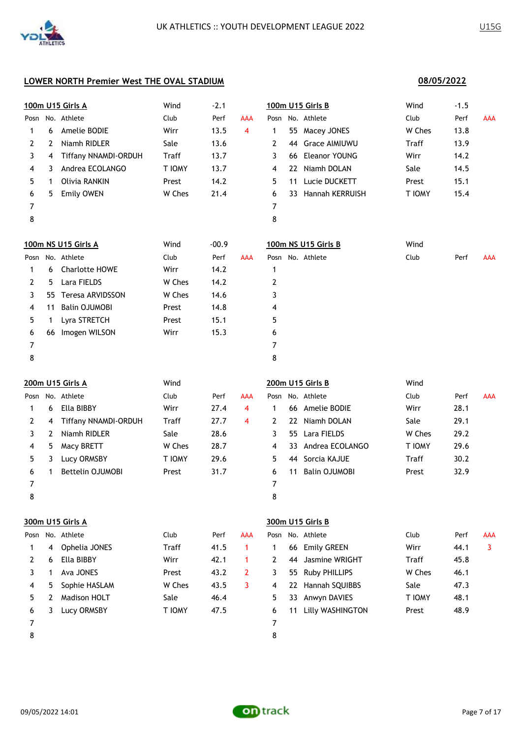**08/05/2022**

|      |                | 100m U15 Girls A            | Wind         | $-2.1$  |                |              |    | 100m U15 Girls B     | Wind         | $-1.5$ |                |
|------|----------------|-----------------------------|--------------|---------|----------------|--------------|----|----------------------|--------------|--------|----------------|
| Posn |                | No. Athlete                 | Club         | Perf    | <b>AAA</b>     | Posn         |    | No. Athlete          | Club         | Perf   | <b>AAA</b>     |
| 1    | 6              | Amelie BODIE                | Wirr         | 13.5    | $\overline{4}$ | 1            | 55 | Macey JONES          | W Ches       | 13.8   |                |
| 2    | 2              | Niamh RIDLER                | Sale         | 13.6    |                | 2            | 44 | <b>Grace AIMIUWU</b> | <b>Traff</b> | 13.9   |                |
| 3    | 4              | Tiffany NNAMDI-ORDUH        | Traff        | 13.7    |                | 3            | 66 | <b>Eleanor YOUNG</b> | Wirr         | 14.2   |                |
| 4    | 3              | Andrea ECOLANGO             | T IOMY       | 13.7    |                | 4            | 22 | Niamh DOLAN          | Sale         | 14.5   |                |
| 5    | 1              | Olivia RANKIN               | Prest        | 14.2    |                | 5            | 11 | Lucie DUCKETT        | Prest        | 15.1   |                |
| 6    | 5              | <b>Emily OWEN</b>           | W Ches       | 21.4    |                | 6            |    | 33 Hannah KERRUISH   | T IOMY       | 15.4   |                |
| 7    |                |                             |              |         |                | 7            |    |                      |              |        |                |
| 8    |                |                             |              |         |                | 8            |    |                      |              |        |                |
|      |                | 100m NS U15 Girls A         | Wind         | $-00.9$ |                |              |    | 100m NS U15 Girls B  | Wind         |        |                |
| Posn |                | No. Athlete                 | Club         | Perf    | <b>AAA</b>     |              |    | Posn No. Athlete     | Club         | Perf   | <b>AAA</b>     |
| 1    | 6              | <b>Charlotte HOWE</b>       | Wirr         | 14.2    |                | 1            |    |                      |              |        |                |
| 2    | 5              | Lara FIELDS                 | W Ches       | 14.2    |                | 2            |    |                      |              |        |                |
| 3    | 55             | Teresa ARVIDSSON            | W Ches       | 14.6    |                | 3            |    |                      |              |        |                |
| 4    | 11             | <b>Balin OJUMOBI</b>        | Prest        | 14.8    |                | 4            |    |                      |              |        |                |
| 5    | 1              | Lyra STRETCH                | Prest        | 15.1    |                | 5            |    |                      |              |        |                |
| 6    | 66             | Imogen WILSON               | Wirr         | 15.3    |                | 6            |    |                      |              |        |                |
| 7    |                |                             |              |         |                | 7            |    |                      |              |        |                |
| 8    |                |                             |              |         |                | 8            |    |                      |              |        |                |
|      |                | 200m U15 Girls A            | Wind         |         |                |              |    | 200m U15 Girls B     | Wind         |        |                |
| Posn |                | No. Athlete                 | Club         | Perf    | <b>AAA</b>     | Posn         |    | No. Athlete          | Club         | Perf   | <b>AAA</b>     |
| 1    | 6              | Ella BIBBY                  | Wirr         | 27.4    | $\overline{4}$ | $\mathbf{1}$ |    | 66 Amelie BODIE      | Wirr         | 28.1   |                |
| 2    | 4              | <b>Tiffany NNAMDI-ORDUH</b> | <b>Traff</b> | 27.7    | 4              | 2            | 22 | Niamh DOLAN          | Sale         | 29.1   |                |
| 3    | $\overline{2}$ | Niamh RIDLER                | Sale         | 28.6    |                | 3            | 55 | Lara FIELDS          | W Ches       | 29.2   |                |
| 4    | 5              | Macy BRETT                  | W Ches       | 28.7    |                | 4            | 33 | Andrea ECOLANGO      | T IOMY       | 29.6   |                |
| 5    | 3              | Lucy ORMSBY                 | T IOMY       | 29.6    |                | 5            | 44 | Sorcia KAJUE         | Traff        | 30.2   |                |
| 6    | 1              | Bettelin OJUMOBI            | Prest        | 31.7    |                | 6            | 11 | <b>Balin OJUMOBI</b> | Prest        | 32.9   |                |
| 7    |                |                             |              |         |                | 7            |    |                      |              |        |                |
| 8    |                |                             |              |         |                | 8            |    |                      |              |        |                |
|      |                | 300m U15 Girls A            |              |         |                |              |    | 300m U15 Girls B     |              |        |                |
|      |                | Posn No. Athlete            | Club         | Perf    | <b>AAA</b>     | Posn         |    | No. Athlete          | Club         | Perf   | <b>AAA</b>     |
| 1    | 4              | Ophelia JONES               | <b>Traff</b> | 41.5    | $\mathbf{1}$   | 1            |    | 66 Emily GREEN       | Wirr         | 44.1   | $\overline{3}$ |
| 2    | 6              | Ella BIBBY                  | Wirr         | 42.1    | $\mathbf{1}$   | 2            | 44 | Jasmine WRIGHT       | Traff        | 45.8   |                |
| 3    | 1              | Ava JONES                   | Prest        | 43.2    | $\overline{2}$ | 3            | 55 | Ruby PHILLIPS        | W Ches       | 46.1   |                |
| 4    | 5              | Sophie HASLAM               | W Ches       | 43.5    | 3              | 4            | 22 | Hannah SQUIBBS       | Sale         | 47.3   |                |
| 5    | $\mathbf{2}$   | <b>Madison HOLT</b>         | Sale         | 46.4    |                | 5            | 33 | Anwyn DAVIES         | T IOMY       | 48.1   |                |
| 6    | 3              | Lucy ORMSBY                 | T IOMY       | 47.5    |                | 6            | 11 | Lilly WASHINGTON     | Prest        | 48.9   |                |
|      |                |                             |              |         |                |              |    |                      |              |        |                |
| 7    |                |                             |              |         |                | 7            |    |                      |              |        |                |

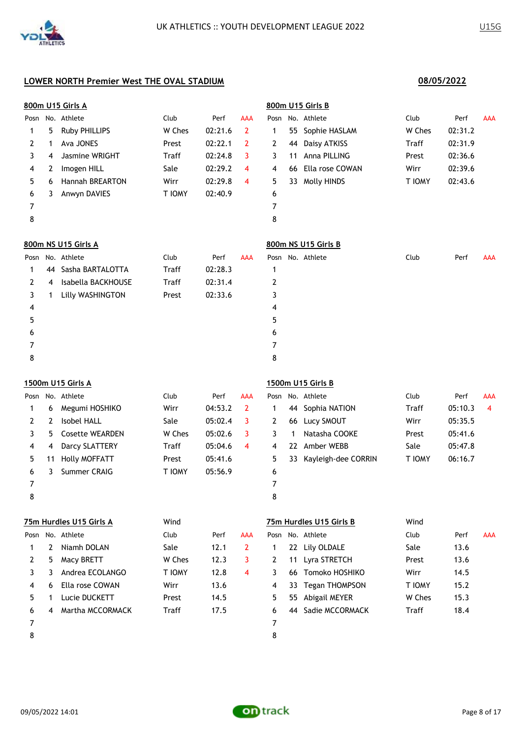|      | 800m U15 Girls A |                         |              |         |                |                | 800m U15 Girls B |                         |        |         |            |  |  |  |
|------|------------------|-------------------------|--------------|---------|----------------|----------------|------------------|-------------------------|--------|---------|------------|--|--|--|
| Posn |                  | No. Athlete             | Club         | Perf    | <b>AAA</b>     | Posn           |                  | No. Athlete             | Club   | Perf    | AAA        |  |  |  |
| 1    | 5                | Ruby PHILLIPS           | W Ches       | 02:21.6 | $\overline{2}$ | 1              | 55               | Sophie HASLAM           | W Ches | 02:31.2 |            |  |  |  |
| 2    | 1                | Ava JONES               | Prest        | 02:22.1 | 2              | 2              | 44               | Daisy ATKISS            | Traff  | 02:31.9 |            |  |  |  |
| 3    | 4                | Jasmine WRIGHT          | Traff        | 02:24.8 | 3              | 3              | 11               | Anna PILLING            | Prest  | 02:36.6 |            |  |  |  |
| 4    | 2                | Imogen HILL             | Sale         | 02:29.2 | 4              | 4              | 66               | Ella rose COWAN         | Wirr   | 02:39.6 |            |  |  |  |
| 5    | 6                | Hannah BREARTON         | Wirr         | 02:29.8 | 4              | 5              |                  | 33 Molly HINDS          | T IOMY | 02:43.6 |            |  |  |  |
| 6    | 3                | Anwyn DAVIES            | T IOMY       | 02:40.9 |                | 6              |                  |                         |        |         |            |  |  |  |
| 7    |                  |                         |              |         |                | 7              |                  |                         |        |         |            |  |  |  |
| 8    |                  |                         |              |         |                | 8              |                  |                         |        |         |            |  |  |  |
|      |                  | 800m NS U15 Girls A     |              |         |                |                |                  | 800m NS U15 Girls B     |        |         |            |  |  |  |
| Posn |                  | No. Athlete             | Club         | Perf    | AAA            | Posn           |                  | No. Athlete             | Club   | Perf    | AAA        |  |  |  |
| 1    | 44               | Sasha BARTALOTTA        | <b>Traff</b> | 02:28.3 |                | 1              |                  |                         |        |         |            |  |  |  |
| 2    | 4                | Isabella BACKHOUSE      | Traff        | 02:31.4 |                | $\overline{2}$ |                  |                         |        |         |            |  |  |  |
| 3    | 1                | Lilly WASHINGTON        | Prest        | 02:33.6 |                | 3              |                  |                         |        |         |            |  |  |  |
| 4    |                  |                         |              |         |                | 4              |                  |                         |        |         |            |  |  |  |
| 5    |                  |                         |              |         |                | 5              |                  |                         |        |         |            |  |  |  |
| 6    |                  |                         |              |         |                | 6              |                  |                         |        |         |            |  |  |  |
| 7    |                  |                         |              |         |                | $\overline{7}$ |                  |                         |        |         |            |  |  |  |
| 8    |                  |                         |              |         |                | 8              |                  |                         |        |         |            |  |  |  |
|      |                  | 1500m U15 Girls A       |              |         |                |                |                  | 1500m U15 Girls B       |        |         |            |  |  |  |
| Posn |                  | No. Athlete             | Club         | Perf    | <b>AAA</b>     | Posn           |                  | No. Athlete             | Club   | Perf    | AAA        |  |  |  |
| 1    | 6                | Megumi HOSHIKO          | Wirr         | 04:53.2 | 2              | 1              | 44               | Sophia NATION           | Traff  | 05:10.3 | 4          |  |  |  |
| 2    | 2                | <b>Isobel HALL</b>      | Sale         | 05:02.4 | 3              | 2              | 66               | Lucy SMOUT              | Wirr   | 05:35.5 |            |  |  |  |
| 3    | 5                | <b>Cosette WEARDEN</b>  | W Ches       | 05:02.6 | 3              | 3              | 1                | Natasha COOKE           | Prest  | 05:41.6 |            |  |  |  |
| 4    | 4                | Darcy SLATTERY          | Traff        | 05:04.6 | 4              | 4              | 22               | Amber WEBB              | Sale   | 05:47.8 |            |  |  |  |
| 5    | 11               | <b>Holly MOFFATT</b>    | Prest        | 05:41.6 |                | 5              | 33               | Kayleigh-dee CORRIN     | T IOMY | 06:16.7 |            |  |  |  |
| 6    | 3                | Summer CRAIG            | T IOMY       | 05:56.9 |                | 6              |                  |                         |        |         |            |  |  |  |
| 7    |                  |                         |              |         |                | 7              |                  |                         |        |         |            |  |  |  |
| 8    |                  |                         |              |         |                | 8              |                  |                         |        |         |            |  |  |  |
|      |                  | 75m Hurdles U15 Girls A | Wind         |         |                |                |                  | 75m Hurdles U15 Girls B | Wind   |         |            |  |  |  |
| Posn |                  | No. Athlete             | Club         | Perf    | <b>AAA</b>     |                |                  | Posn No. Athlete        | Club   | Perf    | <b>AAA</b> |  |  |  |
| 1    | $\overline{2}$   | Niamh DOLAN             | Sale         | 12.1    | $\overline{2}$ | 1              | 22               | Lily OLDALE             | Sale   | 13.6    |            |  |  |  |
| 2    | 5                | Macy BRETT              | W Ches       | 12.3    | 3              | $\overline{2}$ | 11               | Lyra STRETCH            | Prest  | 13.6    |            |  |  |  |
| 3    | 3                | Andrea ECOLANGO         | T IOMY       | 12.8    | 4              | 3              | 66               | Tomoko HOSHIKO          | Wirr   | 14.5    |            |  |  |  |
| 4    | 6                | Ella rose COWAN         | Wirr         | 13.6    |                | 4              | 33               | <b>Tegan THOMPSON</b>   | T IOMY | 15.2    |            |  |  |  |
| 5    | 1                | Lucie DUCKETT           | Prest        | 14.5    |                | 5              | 55               | Abigail MEYER           | W Ches | 15.3    |            |  |  |  |
| 6    | 4                | Martha MCCORMACK        | <b>Traff</b> | 17.5    |                | 6              | 44               | Sadie MCCORMACK         | Traff  | 18.4    |            |  |  |  |
| 7    |                  |                         |              |         |                | 7              |                  |                         |        |         |            |  |  |  |

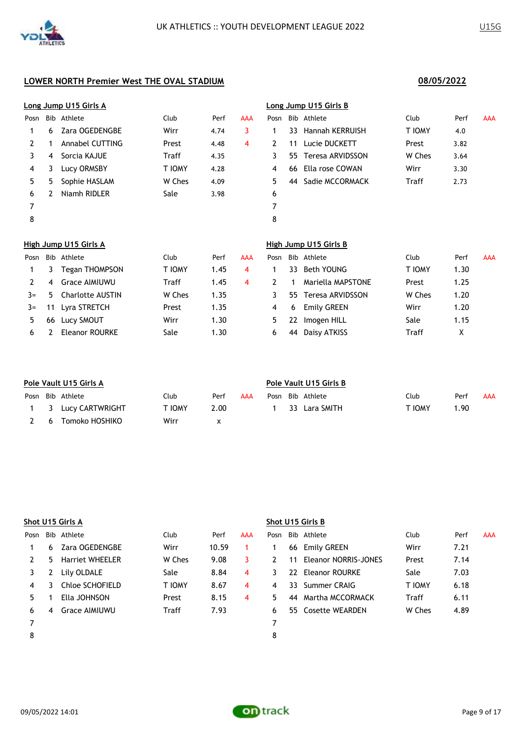|                       |   | Long Jump U15 Girls A        |               |      |            | Long Jump U15 Girls B |     |                              |        |      |            |  |
|-----------------------|---|------------------------------|---------------|------|------------|-----------------------|-----|------------------------------|--------|------|------------|--|
| Posn                  |   | Bib Athlete                  | Club          | Perf | <b>AAA</b> | Posn                  |     | Bib Athlete                  | Club   | Perf | <b>AAA</b> |  |
|                       | 6 | Zara OGEDENGBE               | Wirr          | 4.74 | 3          | 1                     | 33. | <b>Hannah KERRUISH</b>       | T IOMY | 4.0  |            |  |
| 2                     |   | <b>Annabel CUTTING</b>       | Prest         | 4.48 | 4          | $\mathbf{2}^{\prime}$ | 11  | Lucie DUCKETT                | Prest  | 3.82 |            |  |
| 3                     | 4 | Sorcia KAJUE                 | Traff         | 4.35 |            | 3                     | 55. | Teresa ARVIDSSON             | W Ches | 3.64 |            |  |
| 4                     | 3 | Lucy ORMSBY                  | T IOMY        | 4.28 |            | 4                     | 66  | Ella rose COWAN              | Wirr   | 3.30 |            |  |
| 5                     | 5 | Sophie HASLAM                | W Ches        | 4.09 |            | 5.                    | 44  | Sadie MCCORMACK              | Traff  | 2.73 |            |  |
| 6                     | 2 | Niamh RIDLER                 | Sale          | 3.98 |            | 6                     |     |                              |        |      |            |  |
| 7                     |   |                              |               |      |            | 7                     |     |                              |        |      |            |  |
| 8                     |   |                              |               |      |            | 8                     |     |                              |        |      |            |  |
|                       |   | <b>High Jump U15 Girls A</b> |               |      |            |                       |     | <b>High Jump U15 Girls B</b> |        |      |            |  |
| Posn                  |   | Bib Athlete                  | Club          | Perf | <b>AAA</b> | Posn                  | Bib | Athlete                      | Club   | Perf | <b>AAA</b> |  |
| 1                     | 3 | Tegan THOMPSON               | <b>T IOMY</b> | 1.45 | 4          | 1                     | 33  | <b>Beth YOUNG</b>            | T IOMY | 1.30 |            |  |
| $\mathbf{2}^{\prime}$ | 4 | <b>Grace AIMIUWU</b>         | Traff         | 1.45 | 4          | $\mathbf{2}^{\prime}$ |     | Mariella MAPSTONE            | Prest  | 1.25 |            |  |
| $3=$                  | 5 | <b>Charlotte AUSTIN</b>      | W Ches        | 1.35 |            | 3                     | 55. | Teresa ARVIDSSON             | W Ches | 1.20 |            |  |

|      | <u>High Jump U15 Girls A</u> |                       |              |      |     |      | High Jump U15 Girls B |                     |        |      |            |  |  |  |
|------|------------------------------|-----------------------|--------------|------|-----|------|-----------------------|---------------------|--------|------|------------|--|--|--|
| Posn |                              | Bib Athlete           | Club         | Perf | AAA | Posn |                       | Bib Athlete         | Club   | Perf | <b>AAA</b> |  |  |  |
|      | 3                            | <b>Tegan THOMPSON</b> | T IOMY       | 1.45 | 4   |      | 33                    | Beth YOUNG          | T IOMY | 1.30 |            |  |  |  |
|      | 4                            | Grace AIMIUWU         | <b>Traff</b> | 1.45 | 4   |      |                       | Mariella MAPSTONE   | Prest  | 1.25 |            |  |  |  |
| $3=$ | 5.                           | Charlotte AUSTIN      | W Ches       | 1.35 |     |      |                       | 55 Teresa ARVIDSSON | W Ches | 1.20 |            |  |  |  |
| $3=$ | 11                           | Lyra STRETCH          | Prest        | 1.35 |     | 4    | 6                     | Emily GREEN         | Wirr   | 1.20 |            |  |  |  |
|      |                              | 66 Lucy SMOUT         | Wirr         | 1.30 |     | 5.   |                       | 22 Imogen HILL      | Sale   | 1.15 |            |  |  |  |
| 6    |                              | Eleanor ROURKE        | Sale         | 1.30 |     | 6    | 44                    | Daisy ATKISS        | Traff  | x    |            |  |  |  |

| Pole Vault U15 Girls A |                     |        |      |     |      | Pole Vault U15 Girls B |               |        |      |            |  |  |  |
|------------------------|---------------------|--------|------|-----|------|------------------------|---------------|--------|------|------------|--|--|--|
|                        | Posn Bib Athlete    | Club   | Perf | AAA | Posn |                        | Bib Athlete   | Club   | Perf | <b>AAA</b> |  |  |  |
|                        | 1 3 Lucy CARTWRIGHT | f Iomy | 2.00 |     |      |                        | 33 Lara SMITH | T IOMY | 1.90 |            |  |  |  |
| - 6                    | Tomoko HOSHIKO      | Wirr   |      |     |      |                        |               |        |      |            |  |  |  |

|      |    | Shot U15 Girls A       |               |       |     | Shot U15 Girls B |    |                         |               |      |            |  |  |
|------|----|------------------------|---------------|-------|-----|------------------|----|-------------------------|---------------|------|------------|--|--|
| Posn |    | Bib Athlete            | Club          | Perf  | AAA | Posn             |    | Bib Athlete             | Club          | Perf | <b>AAA</b> |  |  |
|      | 6. | Zara OGEDENGBE         | Wirr          | 10.59 |     |                  |    | 66 Emily GREEN          | Wirr          | 7.21 |            |  |  |
|      | 5. | <b>Harriet WHEELER</b> | W Ches        | 9.08  | 3   |                  |    | 11 Eleanor NORRIS-JONES | Prest         | 7.14 |            |  |  |
|      |    | Lily OLDALE            | Sale          | 8.84  | 4   | 3.               |    | 22 Eleanor ROURKE       | Sale          | 7.03 |            |  |  |
| 4    | 3  | Chloe SCHOFIELD        | <b>T IOMY</b> | 8.67  | 4   | 4                |    | 33 Summer CRAIG         | <b>T IOMY</b> | 6.18 |            |  |  |
|      |    | Ella JOHNSON           | Prest         | 8.15  | 4   | 5.               | 44 | Martha MCCORMACK        | <b>Traff</b>  | 6.11 |            |  |  |
| 6    | 4  | Grace AIMIUWU          | Traff         | 7.93  |     | 6                |    | 55 Cosette WEARDEN      | W Ches        | 4.89 |            |  |  |
|      |    |                        |               |       |     |                  |    |                         |               |      |            |  |  |
| 8    |    |                        |               |       |     | 8                |    |                         |               |      |            |  |  |

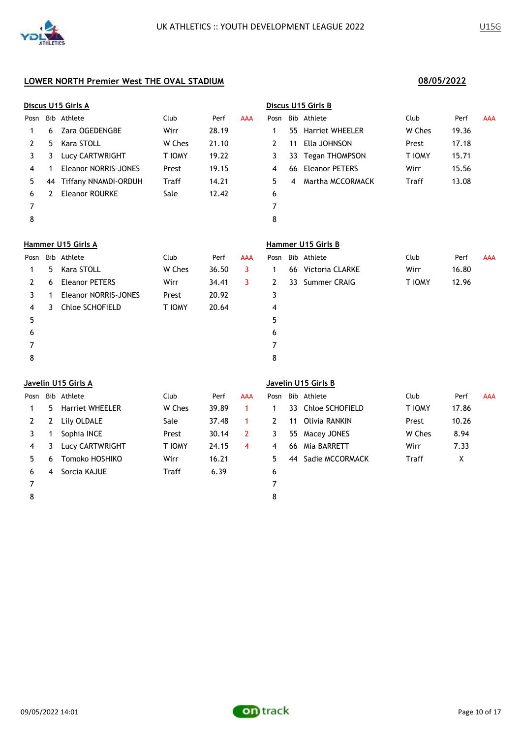|                     | Discus U15 Girls A |                             |               |       |            | Discus U15 Girls B  |    |                        |              |       |            |  |  |
|---------------------|--------------------|-----------------------------|---------------|-------|------------|---------------------|----|------------------------|--------------|-------|------------|--|--|
| Posn                |                    | Bib Athlete                 | Club          | Perf  | <b>AAA</b> | Posn                |    | Bib Athlete            | Club         | Perf  | <b>AAA</b> |  |  |
| 1                   | 6                  | Zara OGEDENGBE              | Wirr          | 28.19 |            | 1                   | 55 | <b>Harriet WHEELER</b> | W Ches       | 19.36 |            |  |  |
| 2                   | 5                  | Kara STOLL                  | W Ches        | 21.10 |            | $\mathbf{2}$        | 11 | Ella JOHNSON           | Prest        | 17.18 |            |  |  |
| 3                   | 3                  | Lucy CARTWRIGHT             | T IOMY        | 19.22 |            | 3                   | 33 | Tegan THOMPSON         | T IOMY       | 15.71 |            |  |  |
| 4                   | 1                  | <b>Eleanor NORRIS-JONES</b> | Prest         | 19.15 |            | 4                   | 66 | <b>Eleanor PETERS</b>  | Wirr         | 15.56 |            |  |  |
| 5                   | 44                 | <b>Tiffany NNAMDI-ORDUH</b> | Traff         | 14.21 |            | 5                   | 4  | Martha MCCORMACK       | <b>Traff</b> | 13.08 |            |  |  |
| 6                   | 2                  | <b>Eleanor ROURKE</b>       | Sale          | 12.42 |            | 6                   |    |                        |              |       |            |  |  |
| 7                   |                    |                             |               |       |            | $\overline{7}$      |    |                        |              |       |            |  |  |
| 8                   |                    |                             |               |       |            | 8                   |    |                        |              |       |            |  |  |
|                     | Hammer U15 Girls A |                             |               |       |            | Hammer U15 Girls B  |    |                        |              |       |            |  |  |
| Posn                |                    | Bib Athlete                 | Club          | Perf  | <b>AAA</b> | Posn                |    | Bib Athlete            | Club         | Perf  | AAA        |  |  |
| 1                   | 5.                 | Kara STOLL                  | W Ches        | 36.50 | 3          | 1                   | 66 | Victoria CLARKE        | Wirr         | 16.80 |            |  |  |
| 2                   | 6                  | <b>Eleanor PETERS</b>       | Wirr          | 34.41 | 3          | 2                   | 33 | Summer CRAIG           | T IOMY       | 12.96 |            |  |  |
| 3                   | 1                  | <b>Eleanor NORRIS-JONES</b> | Prest         | 20.92 |            | 3                   |    |                        |              |       |            |  |  |
| 4                   | 3                  | Chloe SCHOFIELD             | <b>T IOMY</b> | 20.64 |            | 4                   |    |                        |              |       |            |  |  |
| 5                   |                    |                             |               |       |            | 5                   |    |                        |              |       |            |  |  |
| 6                   |                    |                             |               |       |            | 6                   |    |                        |              |       |            |  |  |
| 7                   |                    |                             |               |       |            | 7                   |    |                        |              |       |            |  |  |
| 8<br>8              |                    |                             |               |       |            |                     |    |                        |              |       |            |  |  |
| Javelin U15 Girls A |                    |                             |               |       |            | Javelin U15 Girls B |    |                        |              |       |            |  |  |
|                     |                    |                             |               |       |            |                     |    |                        |              |       |            |  |  |

| Posn |    | Bib Athlete            | Club          | Perf  | AAA | Posn |     | Bib Athlete        | Club          | Perf  | <b>AAA</b> |
|------|----|------------------------|---------------|-------|-----|------|-----|--------------------|---------------|-------|------------|
|      | 5. | <b>Harriet WHEELER</b> | W Ches        | 39.89 |     |      |     | 33 Chloe SCHOFIELD | <b>T IOMY</b> | 17.86 |            |
| 2    | 2  | Lily OLDALE            | Sale          | 37.48 |     |      | 11  | Olivia RANKIN      | Prest         | 10.26 |            |
|      |    | Sophia INCE            | Prest         | 30.14 |     |      | 55  | Macey JONES        | W Ches        | 8.94  |            |
| 4    |    | <b>Lucy CARTWRIGHT</b> | <b>T IOMY</b> | 24.15 | 4   | 4    | -66 | Mia BARRETT        | Wirr          | 7.33  |            |
|      | 6  | Tomoko HOSHIKO         | Wirr          | 16.21 |     | 5.   | 44  | Sadie MCCORMACK    | Traff         | Χ     |            |
| 6    | 4  | Sorcia KAJUE           | Traff         | 6.39  |     | 6    |     |                    |               |       |            |
|      |    |                        |               |       |     |      |     |                    |               |       |            |

|              | osn Bib Athlete?   | Club   | Perf  | <b>AAA</b> |
|--------------|--------------------|--------|-------|------------|
| $\mathbf{1}$ | 33 Chloe SCHOFIELD | T IOMY | 17.86 |            |
| 2            | 11 Olivia RANKIN   | Prest  | 10.26 |            |
| 3            | 55 Macey JONES     | W Ches | 8.94  |            |
| 4            | 66 Mia BARRETT     | Wirr   | 7.33  |            |
| 5            | 44 Sadie MCCORMACK | Traff  | x     |            |
| 6            |                    |        |       |            |

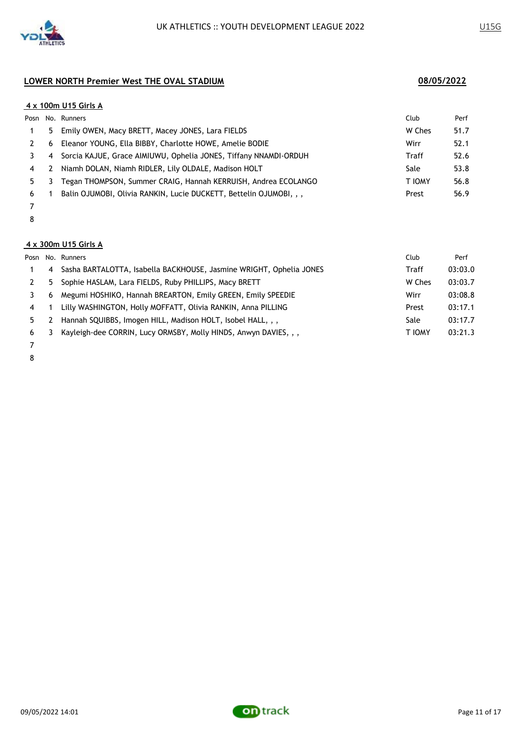

### **4 x 100m U15 Girls A**

|    |   | Posn No. Runners                                                   | Club   | Perf |
|----|---|--------------------------------------------------------------------|--------|------|
|    |   | 5 Emily OWEN, Macy BRETT, Macey JONES, Lara FIELDS                 | W Ches | 51.7 |
|    | 6 | Eleanor YOUNG, Ella BIBBY, Charlotte HOWE, Amelie BODIE            | Wirr   | 52.1 |
|    | 4 | Sorcia KAJUE, Grace AIMIUWU, Ophelia JONES, Tiffany NNAMDI-ORDUH   | Traff  | 52.6 |
| 4  | 2 | Niamh DOLAN, Niamh RIDLER, Lily OLDALE, Madison HOLT               | Sale   | 53.8 |
| 5. | 3 | Tegan THOMPSON, Summer CRAIG, Hannah KERRUISH, Andrea ECOLANGO     | T IOMY | 56.8 |
| 6  |   | Balin OJUMOBI, Olivia RANKIN, Lucie DUCKETT, Bettelin OJUMOBI, , , | Prest  | 56.9 |
|    |   |                                                                    |        |      |

# 

### **4 x 300m U15 Girls A**

|                |    | Posn No. Runners                                                    | Club   | Perf    |
|----------------|----|---------------------------------------------------------------------|--------|---------|
|                | 4  | Sasha BARTALOTTA, Isabella BACKHOUSE, Jasmine WRIGHT, Ophelia JONES | Traff  | 03:03.0 |
|                | 5. | Sophie HASLAM, Lara FIELDS, Ruby PHILLIPS, Macy BRETT               | W Ches | 03:03.7 |
|                | 6  | Megumi HOSHIKO, Hannah BREARTON, Emily GREEN, Emily SPEEDIE         | Wirr   | 03:08.8 |
| $\overline{4}$ |    | Lilly WASHINGTON, Holly MOFFATT, Olivia RANKIN, Anna PILLING        | Prest  | 03:17.1 |
| 5.             |    | Hannah SQUIBBS, Imogen HILL, Madison HOLT, Isobel HALL, , ,         | Sale   | 03:17.7 |
| 6              | 3  | Kayleigh-dee CORRIN, Lucy ORMSBY, Molly HINDS, Anwyn DAVIES, , ,    | T IOMY | 03:21.3 |
|                |    |                                                                     |        |         |

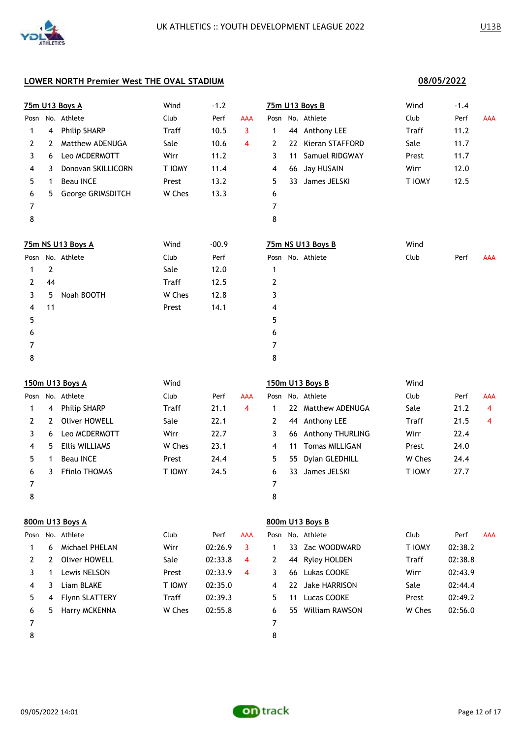|      |                | 75m U13 Boys A        | Wind         | $-1.2$  |                |                |    | 75m U13 Boys B        | Wind   | $-1.4$  |            |
|------|----------------|-----------------------|--------------|---------|----------------|----------------|----|-----------------------|--------|---------|------------|
| Posn |                | No. Athlete           | Club         | Perf    | AAA            |                |    | Posn No. Athlete      | Club   | Perf    | <b>AAA</b> |
| 1    | 4              | <b>Philip SHARP</b>   | Traff        | 10.5    | 3              | 1              |    | 44 Anthony LEE        | Traff  | 11.2    |            |
| 2    | 2              | Matthew ADENUGA       | Sale         | 10.6    | $\overline{4}$ | $\mathbf{2}$   | 22 | Kieran STAFFORD       | Sale   | 11.7    |            |
| 3    | 6              | Leo MCDERMOTT         | Wirr         | 11.2    |                | 3              | 11 | Samuel RIDGWAY        | Prest  | 11.7    |            |
| 4    | 3              | Donovan SKILLICORN    | T IOMY       | 11.4    |                | 4              | 66 | Jay HUSAIN            | Wirr   | 12.0    |            |
| 5    | 1              | <b>Beau INCE</b>      | Prest        | 13.2    |                | 5              | 33 | James JELSKI          | T IOMY | 12.5    |            |
| 6    | 5.             | George GRIMSDITCH     | W Ches       | 13.3    |                | 6              |    |                       |        |         |            |
| 7    |                |                       |              |         |                | 7              |    |                       |        |         |            |
| 8    |                |                       |              |         |                | 8              |    |                       |        |         |            |
|      |                | 75m NS U13 Boys A     | Wind         | $-00.9$ |                |                |    | 75m NS U13 Boys B     | Wind   |         |            |
| Posn |                | No. Athlete           | Club         | Perf    |                | Posn           |    | No. Athlete           | Club   | Perf    | <b>AAA</b> |
| 1    | $\overline{2}$ |                       | Sale         | 12.0    |                | 1              |    |                       |        |         |            |
| 2    | 44             |                       | Traff        | 12.5    |                | 2              |    |                       |        |         |            |
| 3    | 5              | Noah BOOTH            | W Ches       | 12.8    |                | 3              |    |                       |        |         |            |
| 4    | 11             |                       | Prest        | 14.1    |                | 4              |    |                       |        |         |            |
| 5    |                |                       |              |         |                | 5              |    |                       |        |         |            |
| 6    |                |                       |              |         |                | 6              |    |                       |        |         |            |
| 7    |                |                       |              |         |                | 7              |    |                       |        |         |            |
| 8    |                |                       |              |         |                | 8              |    |                       |        |         |            |
|      |                | 150m U13 Boys A       | Wind         |         |                |                |    | 150m U13 Boys B       | Wind   |         |            |
|      |                | Posn No. Athlete      | Club         | Perf    | AAA            |                |    | Posn No. Athlete      | Club   | Perf    | <b>AAA</b> |
| 1    | 4              | <b>Philip SHARP</b>   | Traff        | 21.1    | 4              | $\mathbf{1}$   |    | 22 Matthew ADENUGA    | Sale   | 21.2    | 4          |
| 2    | 2              | <b>Oliver HOWELL</b>  | Sale         | 22.1    |                | $\overline{2}$ | 44 | Anthony LEE           | Traff  | 21.5    | 4          |
| 3    | 6              | Leo MCDERMOTT         | Wirr         | 22.7    |                | 3              | 66 | Anthony THURLING      | Wirr   | 22.4    |            |
| 4    | 5              | <b>Ellis WILLIAMS</b> | W Ches       | 23.1    |                | 4              | 11 | <b>Tomas MILLIGAN</b> | Prest  | 24.0    |            |
| 5    | 1              | <b>Beau INCE</b>      | Prest        | 24.4    |                | 5              | 55 | Dylan GLEDHILL        | W Ches | 24.4    |            |
| 6    | 3              | Ffinlo THOMAS         | T IOMY       | 24.5    |                | 6              | 33 | James JELSKI          | T IOMY | 27.7    |            |
| 7    |                |                       |              |         |                | 7              |    |                       |        |         |            |
| 8    |                |                       |              |         |                | 8              |    |                       |        |         |            |
|      |                | 800m U13 Boys A       |              |         |                |                |    | 800m U13 Boys B       |        |         |            |
|      |                | Posn No. Athlete      | Club         | Perf    | AAA            | Posn           |    | No. Athlete           | Club   | Perf    | <b>AAA</b> |
| 1    | 6              | Michael PHELAN        | Wirr         | 02:26.9 | 3              | 1              | 33 | Zac WOODWARD          | T IOMY | 02:38.2 |            |
| 2    | 2              | <b>Oliver HOWELL</b>  | Sale         | 02:33.8 | 4              | 2              | 44 | <b>Ryley HOLDEN</b>   | Traff  | 02:38.8 |            |
| 3    | 1              | Lewis NELSON          | Prest        | 02:33.9 | 4              | 3              | 66 | Lukas COOKE           | Wirr   | 02:43.9 |            |
| 4    | 3              | Liam BLAKE            | T IOMY       | 02:35.0 |                | 4              | 22 | Jake HARRISON         | Sale   | 02:44.4 |            |
| 5    | 4              | Flynn SLATTERY        | <b>Traff</b> | 02:39.3 |                | 5              | 11 | Lucas COOKE           | Prest  | 02:49.2 |            |
| 6    | 5.             | Harry MCKENNA         | W Ches       | 02:55.8 |                | 6              |    | 55 William RAWSON     | W Ches | 02:56.0 |            |

8



7

**08/05/2022**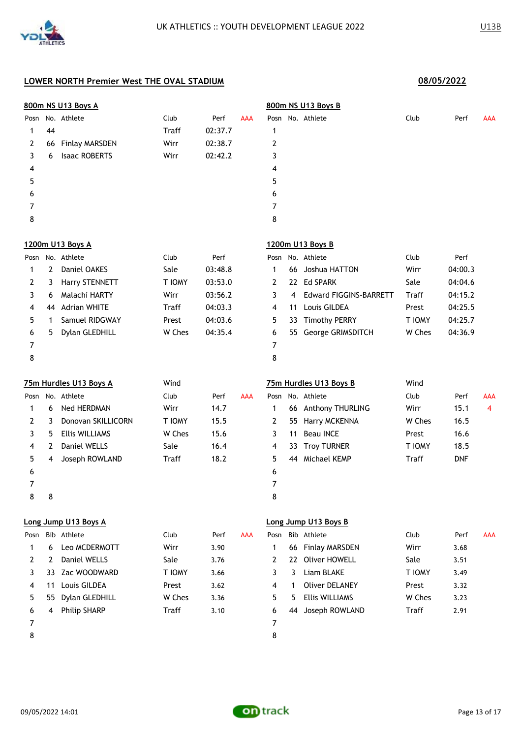| 800m NS U13 Boys A |                |                        |              |         |            | 800m NS U13 Boys B |     |                               |               |            |            |
|--------------------|----------------|------------------------|--------------|---------|------------|--------------------|-----|-------------------------------|---------------|------------|------------|
| Posn               |                | No. Athlete            | Club         | Perf    | <b>AAA</b> |                    |     | Posn No. Athlete              | Club          | Perf       | <b>AAA</b> |
| 1                  | 44             |                        | Traff        | 02:37.7 |            | 1                  |     |                               |               |            |            |
| 2                  | 66             | <b>Finlay MARSDEN</b>  | Wirr         | 02:38.7 |            | 2                  |     |                               |               |            |            |
| 3                  | 6              | <b>Isaac ROBERTS</b>   | Wirr         | 02:42.2 |            | 3                  |     |                               |               |            |            |
| 4                  |                |                        |              |         |            | 4                  |     |                               |               |            |            |
| 5                  |                |                        |              |         |            | 5                  |     |                               |               |            |            |
| 6                  |                |                        |              |         |            | 6                  |     |                               |               |            |            |
| 7                  |                |                        |              |         |            | 7                  |     |                               |               |            |            |
| 8                  |                |                        |              |         |            | 8                  |     |                               |               |            |            |
|                    |                | 1200m U13 Boys A       |              |         |            |                    |     | 1200m U13 Boys B              |               |            |            |
| Posn               |                | No. Athlete            | Club         | Perf    |            |                    |     | Posn No. Athlete              | Club          | Perf       |            |
| 1                  | $\overline{2}$ | Daniel OAKES           | Sale         | 03:48.8 |            | 1                  | 66  | Joshua HATTON                 | Wirr          | 04:00.3    |            |
| 2                  | 3              | <b>Harry STENNETT</b>  | T IOMY       | 03:53.0 |            | 2                  |     | 22 Ed SPARK                   | Sale          | 04:04.6    |            |
| 3                  | 6              | Malachi HARTY          | Wirr         | 03:56.2 |            | 3                  | 4   | <b>Edward FIGGINS-BARRETT</b> | Traff         | 04:15.2    |            |
| 4                  | 44             | <b>Adrian WHITE</b>    | <b>Traff</b> | 04:03.3 |            | 4                  | 11  | Louis GILDEA                  | Prest         | 04:25.5    |            |
| 5                  | 1              | Samuel RIDGWAY         | Prest        | 04:03.6 |            | 5                  | 33  | <b>Timothy PERRY</b>          | T IOMY        | 04:25.7    |            |
| 6                  | 5              | Dylan GLEDHILL         | W Ches       | 04:35.4 |            | 6                  | 55. | George GRIMSDITCH             | W Ches        | 04:36.9    |            |
| 7                  |                |                        |              |         |            | 7                  |     |                               |               |            |            |
| 8                  |                |                        |              |         |            | 8                  |     |                               |               |            |            |
|                    |                | 75m Hurdles U13 Boys A | Wind         |         |            |                    |     | 75m Hurdles U13 Boys B        | Wind          |            |            |
| Posn               |                | No. Athlete            | Club         | Perf    | <b>AAA</b> |                    |     | Posn No. Athlete              | Club          | Perf       | <b>AAA</b> |
| 1                  | 6              | Ned HERDMAN            | Wirr         | 14.7    |            | 1                  |     | 66 Anthony THURLING           | Wirr          | 15.1       | 4          |
| 2                  | 3              | Donovan SKILLICORN     | T IOMY       | 15.5    |            | 2                  | 55  | Harry MCKENNA                 | W Ches        | 16.5       |            |
| 3                  | 5.             | <b>Ellis WILLIAMS</b>  | W Ches       | 15.6    |            | 3                  | 11  | <b>Beau INCE</b>              | Prest         | 16.6       |            |
| 4                  | 2              | Daniel WELLS           | Sale         | 16.4    |            | 4                  | 33  | <b>Troy TURNER</b>            | <b>T IOMY</b> | 18.5       |            |
| 5                  | 4              | Joseph ROWLAND         | <b>Traff</b> | 18.2    |            | 5                  | 44  | Michael KEMP                  | Traff         | <b>DNF</b> |            |
| 6                  |                |                        |              |         |            | 6                  |     |                               |               |            |            |
| 7                  |                |                        |              |         |            | 7                  |     |                               |               |            |            |
| 8                  | 8              |                        |              |         |            | 8                  |     |                               |               |            |            |
|                    |                | Long Jump U13 Boys A   |              |         |            |                    |     | Long Jump U13 Boys B          |               |            |            |
| Posn               |                | Bib Athlete            | Club         | Perf    | <b>AAA</b> | Posn               |     | Bib Athlete                   | Club          | Perf       | AAA        |
| 1                  | 6              | Leo MCDERMOTT          | Wirr         | 3.90    |            | 1                  | 66  | <b>Finlay MARSDEN</b>         | Wirr          | 3.68       |            |
| 2                  | 2              | Daniel WELLS           | Sale         | 3.76    |            | 2                  | 22  | <b>Oliver HOWELL</b>          | Sale          | 3.51       |            |
| 3                  | 33             | Zac WOODWARD           | T IOMY       | 3.66    |            | 3                  | 3   | Liam BLAKE                    | T IOMY        | 3.49       |            |
| 4                  | 11             | Louis GILDEA           | Prest        | 3.62    |            | 4                  | 1   | <b>Oliver DELANEY</b>         | Prest         | 3.32       |            |
| 5                  | 55             | Dylan GLEDHILL         | W Ches       | 3.36    |            | 5                  | 5   | <b>Ellis WILLIAMS</b>         | W Ches        | 3.23       |            |
| 6                  | 4              | <b>Philip SHARP</b>    | Traff        | 3.10    |            | 6                  | 44  | Joseph ROWLAND                | <b>Traff</b>  | 2.91       |            |
| 7                  |                |                        |              |         |            | 7                  |     |                               |               |            |            |

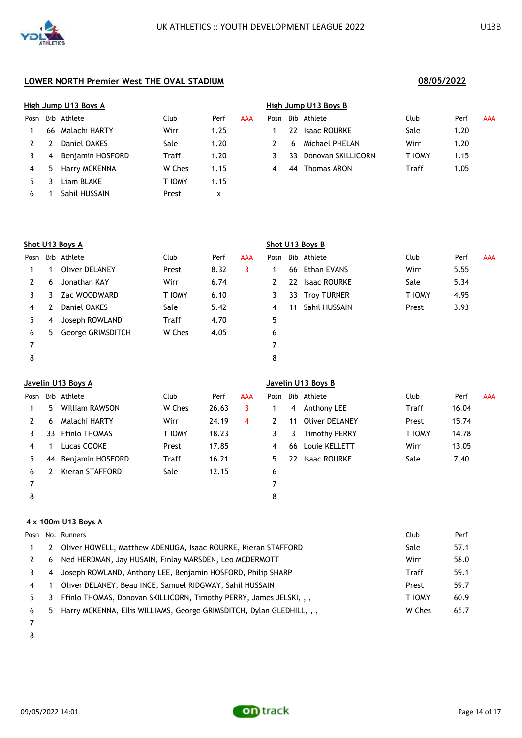|      |    | High Jump U13 Boys A |        |      |     | High Jump U13 Boys B |     |                    |        |      |  |  |
|------|----|----------------------|--------|------|-----|----------------------|-----|--------------------|--------|------|--|--|
| Posn |    | Bib Athlete          | Club   | Perf | AAA | Posn                 |     | Bib Athlete        | Club   | Perf |  |  |
|      | 66 | Malachi HARTY        | Wirr   | 1.25 |     |                      |     | 22 Isaac ROURKE    | Sale   | 1.20 |  |  |
|      |    | Daniel OAKES         | Sale   | 1.20 |     |                      | -6  | Michael PHELAN     | Wirr   | 1.20 |  |  |
|      | 4  | Benjamin HOSFORD     | Traff  | 1.20 |     |                      | 33. | Donovan SKILLICORN | T IOMY | 1.15 |  |  |
| 4    | 5. | Harry MCKENNA        | W Ches | 1.15 |     | 4                    | 44  | Thomas ARON        | Traff  | 1.05 |  |  |
| 5.   |    | Liam BLAKE           | T IOMY | 1.15 |     |                      |     |                    |        |      |  |  |
| 6    |    | Sahil HUSSAIN        | Prest  | х    |     |                      |     |                    |        |      |  |  |

|      | High Jump U13 Boys A |                  |         |      |            |      |     | High Jump U13 Boys B |        |      |     |  |  |  |  |  |
|------|----------------------|------------------|---------|------|------------|------|-----|----------------------|--------|------|-----|--|--|--|--|--|
| Posn |                      | Bib Athlete      | Club    | Perf | <b>AAA</b> | Posn |     | Bib Athlete          | Club   | Perf | AAA |  |  |  |  |  |
|      |                      | 66 Malachi HARTY | Wirr    | 1.25 |            |      |     | 22 Isaac ROURKE      | Sale   | 1.20 |     |  |  |  |  |  |
|      |                      | Daniel OAKES     | Sale    | 1.20 |            |      | 6   | Michael PHELAN       | Wirr   | 1.20 |     |  |  |  |  |  |
| 3    | 4                    | Benjamin HOSFORD | Traff   | 1.20 |            |      | 33. | Donovan SKILLICORN   | T IOMY | 1.15 |     |  |  |  |  |  |
| 4    | b.                   | Harry MCKENNA    | W Ches  | 1.15 |            |      | 44  | Thomas ARON          | Traff  | 1.05 |     |  |  |  |  |  |
|      |                      | ___________      | _______ |      |            |      |     |                      |        |      |     |  |  |  |  |  |

|      |    | Shot U13 Boys A       |        |      |            |      |    | Shot U13 Boys B     |        |      |            |
|------|----|-----------------------|--------|------|------------|------|----|---------------------|--------|------|------------|
| Posn |    | Bib Athlete           | Club   | Perf | <b>AAA</b> | Posn |    | Bib Athlete         | Club   | Perf | <b>AAA</b> |
|      |    | <b>Oliver DELANEY</b> | Prest  | 8.32 | 3          |      | 66 | Ethan EVANS         | Wirr   | 5.55 |            |
| 2    | 6  | Jonathan KAY          | Wirr   | 6.74 |            | 2    | 22 | <b>Isaac ROURKE</b> | Sale   | 5.34 |            |
| 3.   | 3  | Zac WOODWARD          | T IOMY | 6.10 |            | 3    | 33 | <b>Troy TURNER</b>  | T IOMY | 4.95 |            |
| 4    |    | Daniel OAKES          | Sale   | 5.42 |            | 4    | 11 | Sahil HUSSAIN       | Prest  | 3.93 |            |
| 5.   | 4  | Joseph ROWLAND        | Traff  | 4.70 |            | 5    |    |                     |        |      |            |
| 6    | 5. | George GRIMSDITCH     | W Ches | 4.05 |            | 6    |    |                     |        |      |            |
|      |    |                       |        |      |            | 7    |    |                     |        |      |            |
| 8    |    |                       |        |      |            | 8    |    |                     |        |      |            |

# **Javelin U13 Boys A Javelin U13 Boys B** Posn Bib Athlete Club Perf AAA Posn Bib Athlete Club Perf AAA 5 William RAWSON W Ches 26.63 3 1 4 Anthony LEE Traff 16.04 6 Malachi HARTY Wirr 24.19 4 2 11 Oliver DELANEY Prest 15.74 3 33 Ffinlo THOMAS T IOMY 18.23 3 3 Timothy PERRY T IOMY 14.78 1 Lucas COOKE Prest 17.85 4 66 Louie KELLETT Wirr 13.05 5 44 Benjamin HOSFORD Traff 16.21 5 22 Isaac ROURKE Sale 7.40 2 Kieran STAFFORD Sale 12.15 6 7 8

### **4 x 100m U13 Boys A**

|              |   | Posn No. Runners                                                        | Club          | Perf |
|--------------|---|-------------------------------------------------------------------------|---------------|------|
| $\mathbf{1}$ | 2 | Oliver HOWELL, Matthew ADENUGA, Isaac ROURKE, Kieran STAFFORD           | Sale          | 57.1 |
|              | 6 | Ned HERDMAN, Jay HUSAIN, Finlay MARSDEN, Leo MCDERMOTT                  | Wirr          | 58.0 |
|              | 4 | Joseph ROWLAND, Anthony LEE, Benjamin HOSFORD, Philip SHARP             | <b>Traff</b>  | 59.1 |
| 4            |   | Oliver DELANEY, Beau INCE, Samuel RIDGWAY, Sahil HUSSAIN                | Prest         | 59.7 |
| 5.           | 3 | Ffinlo THOMAS, Donovan SKILLICORN, Timothy PERRY, James JELSKI, , ,     | <b>T IOMY</b> | 60.9 |
| 6            |   | 5 Harry MCKENNA, Ellis WILLIAMS, George GRIMSDITCH, Dylan GLEDHILL, , , | W Ches        | 65.7 |
|              |   |                                                                         |               |      |

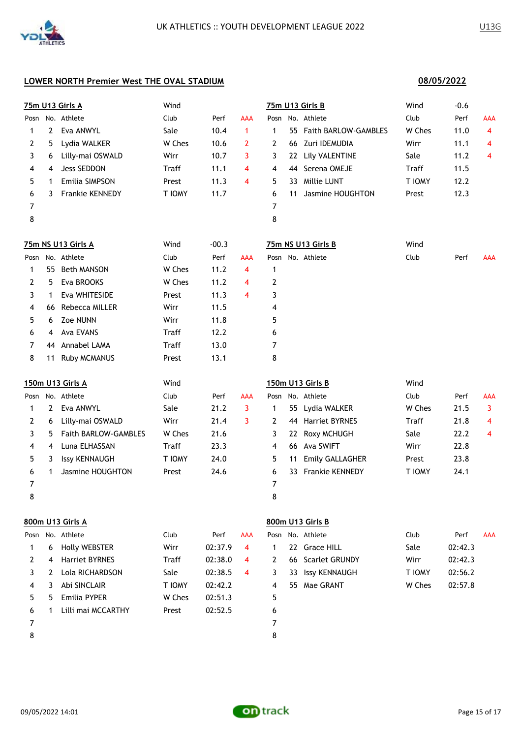|      |                | 75m U13 Girls A      | Wind   |         |                     |      |    | 75m U13 Girls B        | Wind   | $-0.6$  |                |
|------|----------------|----------------------|--------|---------|---------------------|------|----|------------------------|--------|---------|----------------|
| Posn |                | No. Athlete          | Club   | Perf    | AAA                 | Posn |    | No. Athlete            | Club   | Perf    | AAA            |
| 1    | $\overline{2}$ | Eva ANWYL            | Sale   | 10.4    | $\mathbf{1}$        | 1    | 55 | Faith BARLOW-GAMBLES   | W Ches | 11.0    | $\overline{4}$ |
| 2    | 5              | Lydia WALKER         | W Ches | 10.6    | $\mathbf{2}$        | 2    | 66 | Zuri IDEMUDIA          | Wirr   | 11.1    | 4              |
| 3    | 6              | Lilly-mai OSWALD     | Wirr   | 10.7    | 3                   | 3    | 22 | Lily VALENTINE         | Sale   | 11.2    | 4              |
| 4    | 4              | Jess SEDDON          | Traff  | 11.1    | $\overline{\bf{4}}$ | 4    | 44 | Serena OMEJE           | Traff  | 11.5    |                |
| 5    | 1              | Emilia SIMPSON       | Prest  | 11.3    | 4                   | 5    | 33 | Millie LUNT            | T IOMY | 12.2    |                |
| 6    | 3              | Frankie KENNEDY      | T IOMY | 11.7    |                     | 6    | 11 | Jasmine HOUGHTON       | Prest  | 12.3    |                |
| 7    |                |                      |        |         |                     | 7    |    |                        |        |         |                |
| 8    |                |                      |        |         |                     | 8    |    |                        |        |         |                |
|      |                | 75m NS U13 Girls A   | Wind   | $-00.3$ |                     |      |    | 75m NS U13 Girls B     | Wind   |         |                |
|      |                | Posn No. Athlete     | Club   | Perf    | <b>AAA</b>          |      |    | Posn No. Athlete       | Club   | Perf    | AAA            |
| 1    | 55.            | <b>Beth MANSON</b>   | W Ches | 11.2    | 4                   | 1    |    |                        |        |         |                |
| 2    | 5              | Eva BROOKS           | W Ches | 11.2    | 4                   | 2    |    |                        |        |         |                |
| 3    | 1              | Eva WHITESIDE        | Prest  | 11.3    | $\overline{4}$      | 3    |    |                        |        |         |                |
| 4    | 66             | Rebecca MILLER       | Wirr   | 11.5    |                     | 4    |    |                        |        |         |                |
| 5    | 6              | Zoe NUNN             | Wirr   | 11.8    |                     | 5    |    |                        |        |         |                |
| 6    | 4              | Ava EVANS            | Traff  | 12.2    |                     | 6    |    |                        |        |         |                |
| 7    | 44             | Annabel LAMA         | Traff  | 13.0    |                     | 7    |    |                        |        |         |                |
| 8    | 11             | Ruby MCMANUS         | Prest  | 13.1    |                     | 8    |    |                        |        |         |                |
|      |                | 150m U13 Girls A     | Wind   |         |                     |      |    | 150m U13 Girls B       | Wind   |         |                |
| Posn |                | No. Athlete          | Club   | Perf    | <b>AAA</b>          | Posn |    | No. Athlete            | Club   | Perf    | AAA            |
| 1    | 2              | Eva ANWYL            | Sale   | 21.2    | 3                   | 1    | 55 | Lydia WALKER           | W Ches | 21.5    | 3              |
| 2    | 6              | Lilly-mai OSWALD     | Wirr   | 21.4    | 3                   | 2    | 44 | <b>Harriet BYRNES</b>  | Traff  | 21.8    | 4              |
| 3    | 5.             | Faith BARLOW-GAMBLES | W Ches | 21.6    |                     | 3    | 22 | Roxy MCHUGH            | Sale   | 22.2    | 4              |
| 4    | 4              | Luna ELHASSAN        | Traff  | 23.3    |                     | 4    |    | 66 Ava SWIFT           | Wirr   | 22.8    |                |
| 5    | 3              | <b>Issy KENNAUGH</b> | T IOMY | 24.0    |                     | 5    | 11 | Emily GALLAGHER        | Prest  | 23.8    |                |
| 6    | 1              | Jasmine HOUGHTON     | Prest  | 24.6    |                     | 6    | 33 | <b>Frankie KENNEDY</b> | T IOMY | 24.1    |                |
| 7    |                |                      |        |         |                     | 7    |    |                        |        |         |                |
| 8    |                |                      |        |         |                     | 8    |    |                        |        |         |                |
|      |                | 800m U13 Girls A     |        |         |                     |      |    | 800m U13 Girls B       |        |         |                |
|      |                | Posn No. Athlete     | Club   | Perf    | <b>AAA</b>          | Posn |    | No. Athlete            | Club   | Perf    | AAA            |
| 1    | 6              | <b>Holly WEBSTER</b> | Wirr   | 02:37.9 | 4                   | 1    |    | 22 Grace HILL          | Sale   | 02:42.3 |                |
| 2    | 4              | Harriet BYRNES       | Traff  | 02:38.0 | 4                   | 2    | 66 | <b>Scarlet GRUNDY</b>  | Wirr   | 02:42.3 |                |
| 3    | 2              | Lola RICHARDSON      | Sale   | 02:38.5 | 4                   | 3    |    | 33 Issy KENNAUGH       | T IOMY | 02:56.2 |                |
| 4    | 3              | Abi SINCLAIR         | T IOMY | 02:42.2 |                     | 4    |    | 55 Mae GRANT           | W Ches | 02:57.8 |                |
| 5    | 5.             | Emilia PYPER         | W Ches | 02:51.3 |                     | 5    |    |                        |        |         |                |
| 6    | 1              | Lilli mai MCCARTHY   | Prest  | 02:52.5 |                     | 6    |    |                        |        |         |                |
| 7    |                |                      |        |         |                     | 7    |    |                        |        |         |                |
| 8    |                |                      |        |         |                     | 8    |    |                        |        |         |                |

**08/05/2022**

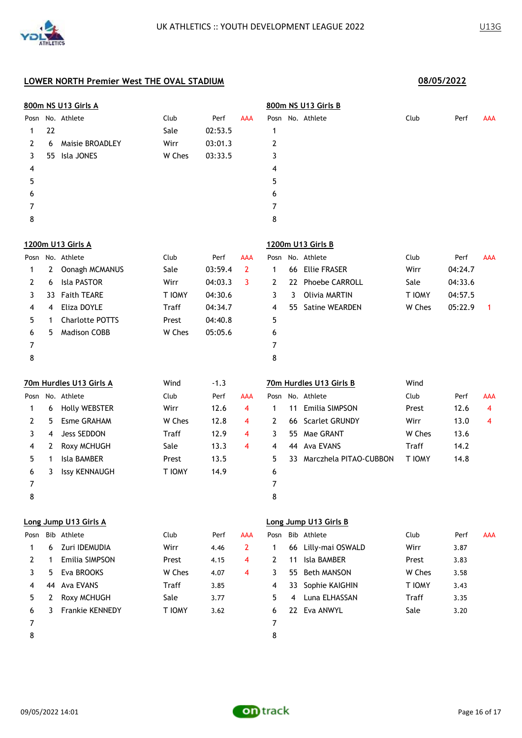|      |    | 800m NS U13 Girls A     |               |         |                |      |     | 800m NS U13 Girls B     |              |         |            |
|------|----|-------------------------|---------------|---------|----------------|------|-----|-------------------------|--------------|---------|------------|
| Posn |    | No. Athlete             | Club          | Perf    | AAA            |      |     | Posn No. Athlete        | Club         | Perf    | AAA        |
| 1    | 22 |                         | Sale          | 02:53.5 |                | 1    |     |                         |              |         |            |
| 2    | 6  | <b>Maisie BROADLEY</b>  | Wirr          | 03:01.3 |                | 2    |     |                         |              |         |            |
| 3    | 55 | Isla JONES              | W Ches        | 03:33.5 |                | 3    |     |                         |              |         |            |
| 4    |    |                         |               |         |                | 4    |     |                         |              |         |            |
| 5    |    |                         |               |         |                | 5    |     |                         |              |         |            |
| 6    |    |                         |               |         |                | 6    |     |                         |              |         |            |
| 7    |    |                         |               |         |                | 7    |     |                         |              |         |            |
| 8    |    |                         |               |         |                | 8    |     |                         |              |         |            |
|      |    | 1200m U13 Girls A       |               |         |                |      |     | 1200m U13 Girls B       |              |         |            |
|      |    | Posn No. Athlete        | Club          | Perf    | AAA            | Posn |     | No. Athlete             | Club         | Perf    | AAA        |
| 1    | 2  | Oonagh MCMANUS          | Sale          | 03:59.4 | $\overline{2}$ | 1    | 66  | <b>Ellie FRASER</b>     | Wirr         | 04:24.7 |            |
| 2    | 6  | Isla PASTOR             | Wirr          | 04:03.3 | 3              | 2    | 22  | <b>Phoebe CARROLL</b>   | Sale         | 04:33.6 |            |
| 3    | 33 | <b>Faith TEARE</b>      | T IOMY        | 04:30.6 |                | 3    | 3   | <b>Olivia MARTIN</b>    | T IOMY       | 04:57.5 |            |
| 4    | 4  | Eliza DOYLE             | <b>Traff</b>  | 04:34.7 |                | 4    | 55. | Satine WEARDEN          | W Ches       | 05:22.9 | 1          |
| 5    | 1  | <b>Charlotte POTTS</b>  | Prest         | 04:40.8 |                | 5    |     |                         |              |         |            |
| 6    | 5. | <b>Madison COBB</b>     | W Ches        | 05:05.6 |                | 6    |     |                         |              |         |            |
| 7    |    |                         |               |         |                | 7    |     |                         |              |         |            |
| 8    |    |                         |               |         |                | 8    |     |                         |              |         |            |
|      |    | 70m Hurdles U13 Girls A | Wind          | $-1.3$  |                |      |     | 70m Hurdles U13 Girls B | Wind         |         |            |
| Posn |    | No. Athlete             | Club          | Perf    | AAA            | Posn |     | No. Athlete             | Club         | Perf    | <b>AAA</b> |
| 1    | 6  | <b>Holly WEBSTER</b>    | Wirr          | 12.6    | 4              | 1    | 11  | Emilia SIMPSON          | Prest        | 12.6    | 4          |
| 2    | 5  | <b>Esme GRAHAM</b>      | W Ches        | 12.8    | 4              | 2    | 66  | Scarlet GRUNDY          | Wirr         | 13.0    | 4          |
| 3    | 4  | <b>Jess SEDDON</b>      | Traff         | 12.9    | 4              | 3    | 55  | Mae GRANT               | W Ches       | 13.6    |            |
| 4    | 2  | Roxy MCHUGH             | Sale          | 13.3    | 4              | 4    | 44  | <b>Ava EVANS</b>        | <b>Traff</b> | 14.2    |            |
| 5    | 1  | <b>Isla BAMBER</b>      | Prest         | 13.5    |                | 5    | 33  | Marczhela PITAO-CUBBON  | T IOMY       | 14.8    |            |
| 6    | 3  | <b>Issy KENNAUGH</b>    | <b>T IOMY</b> | 14.9    |                | 6    |     |                         |              |         |            |
| 7    |    |                         |               |         |                | 7    |     |                         |              |         |            |
| 8    |    |                         |               |         |                | 8    |     |                         |              |         |            |
|      |    | Long Jump U13 Girls A   |               |         |                |      |     | Long Jump U13 Girls B   |              |         |            |
| Posn |    | Bib Athlete             | Club          | Perf    | AAA            | Posn |     | Bib Athlete             | Club         | Perf    | AAA        |
| 1    | 6  | Zuri IDEMUDIA           | Wirr          | 4.46    | $\overline{2}$ | 1    |     | 66 Lilly-mai OSWALD     | Wirr         | 3.87    |            |
| 2    | 1  | <b>Emilia SIMPSON</b>   | Prest         | 4.15    | 4              | 2    | 11  | Isla BAMBER             | Prest        | 3.83    |            |
| 3    | 5. | Eva BROOKS              | W Ches        | 4.07    | 4              | 3    | 55  | <b>Beth MANSON</b>      | W Ches       | 3.58    |            |
| 4    | 44 | Ava EVANS               | Traff         | 3.85    |                | 4    | 33  | Sophie KAIGHIN          | T IOMY       | 3.43    |            |
| 5    | 2  | Roxy MCHUGH             | Sale          | 3.77    |                | 5    | 4   | Luna ELHASSAN           | <b>Traff</b> | 3.35    |            |
| 6    | 3  | Frankie KENNEDY         | T IOMY        | 3.62    |                | 6    |     | 22 Eva ANWYL            | Sale         | 3.20    |            |
| 7    |    |                         |               |         |                | 7    |     |                         |              |         |            |
| 8    |    |                         |               |         |                | 8    |     |                         |              |         |            |